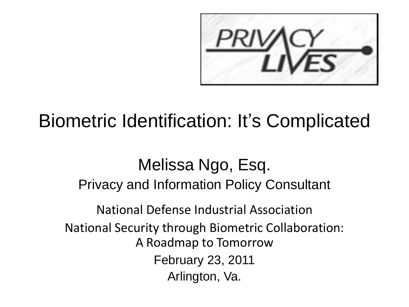

#### Biometric Identification: It's Complicated

Melissa Ngo, Esq. Privacy and Information Policy Consultant National Defense Industrial Association National Security through Biometric Collaboration: A Roadmap to Tomorrow February 23, 2011 Arlington, Va.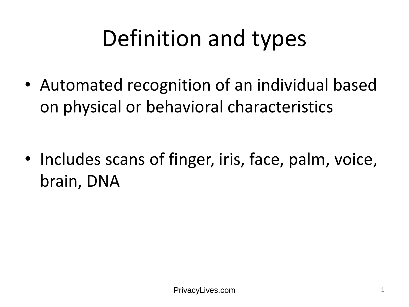# Definition and types

• Automated recognition of an individual based on physical or behavioral characteristics

• Includes scans of finger, iris, face, palm, voice, brain, DNA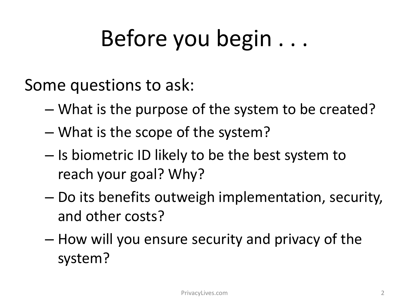## Before you begin . . .

Some questions to ask:

- What is the purpose of the system to be created?
- What is the scope of the system?
- Is biometric ID likely to be the best system to reach your goal? Why?
- Do its benefits outweigh implementation, security, and other costs?
- How will you ensure security and privacy of the system?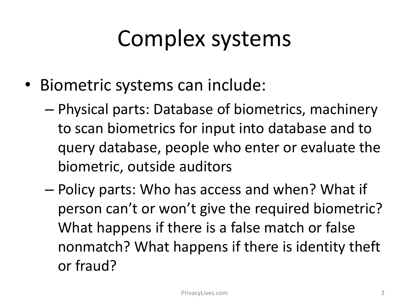#### Complex systems

- Biometric systems can include:
	- Physical parts: Database of biometrics, machinery to scan biometrics for input into database and to query database, people who enter or evaluate the biometric, outside auditors
	- Policy parts: Who has access and when? What if person can't or won't give the required biometric? What happens if there is a false match or false nonmatch? What happens if there is identity theft or fraud?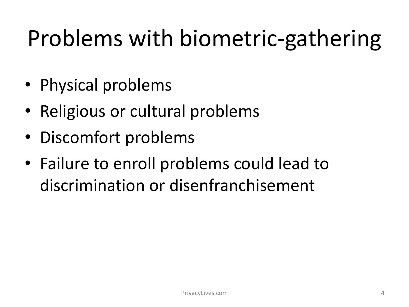# Problems with biometric-gathering

- Physical problems
- Religious or cultural problems
- Discomfort problems
- Failure to enroll problems could lead to discrimination or disenfranchisement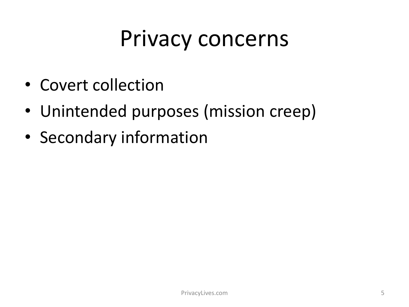#### Privacy concerns

- Covert collection
- Unintended purposes (mission creep)
- Secondary information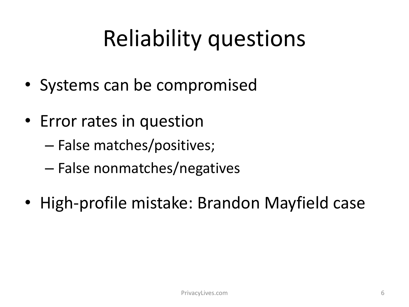### Reliability questions

- Systems can be compromised
- Error rates in question
	- False matches/positives;
	- False nonmatches/negatives
- High-profile mistake: Brandon Mayfield case